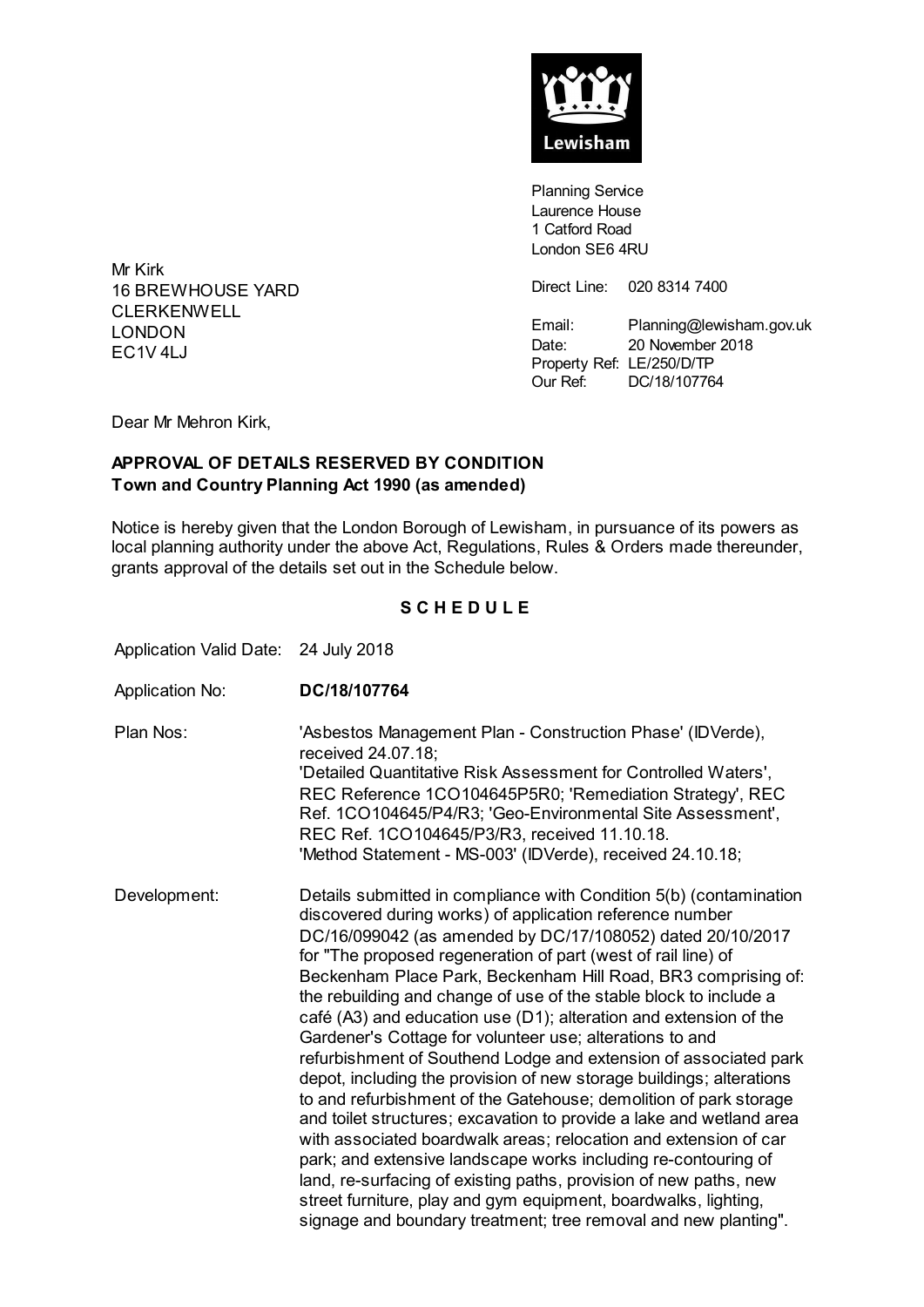

**Planning Service** Laurence House 1 Catford Road London SE6 4RU

Direct Line: 020 8314 7400

Email: Planning@lewisham.gov.uk Date: 20 November 2018 Property Ref: LE/250/D/TP Our Ref: DC/18/107764

Mr Kirk 16 BREWHOUSE YARD CLERKENWELL LONDON  $FC1V4I.J$ 

Dear Mr Mehron Kirk,

## **APPROVAL OF DETAILS RESERVED BY CONDITION Town and Country Planning Act 1990 (as amended)**

Notice is hereby given that the London Borough of Lewisham, in pursuance of its powers as local planning authority under the above Act, Regulations, Rules & Orders made thereunder, grants approval of the details set out in the Schedule below.

## **S C H E D U L E**

Application Valid Date: 24 July 2018

Application No: **DC/18/107764** Plan Nos: 'Asbestos Management Plan - Construction Phase' (IDVerde), received 24.07.18; 'Detailed Quantitative Risk Assessment for Controlled Waters', REC Reference 1CO104645P5R0; 'Remediation Strategy', REC Ref. 1CO104645/P4/R3; 'Geo-Environmental Site Assessment', REC Ref. 1CO104645/P3/R3, received 11.10.18. 'Method Statement - MS-003' (IDVerde), received 24.10.18; Development: Details submitted in compliance with Condition 5(b) (contamination discovered during works) of application reference number DC/16/099042 (as amended by DC/17/108052) dated 20/10/2017 for "The proposed regeneration of part (west of rail line) of Beckenham Place Park, Beckenham Hill Road, BR3 comprising of: the rebuilding and change of use of the stable block to include a café (A3) and education use (D1); alteration and extension of the Gardener's Cottage for volunteer use; alterations to and refurbishment of Southend Lodge and extension of associated park depot, including the provision of new storage buildings; alterations to and refurbishment of the Gatehouse; demolition of park storage and toilet structures; excavation to provide a lake and wetland area with associated boardwalk areas; relocation and extension of car park; and extensive landscape works including re-contouring of land, re-surfacing of existing paths, provision of new paths, new street furniture, play and gym equipment, boardwalks, lighting, signage and boundary treatment; tree removal and new planting".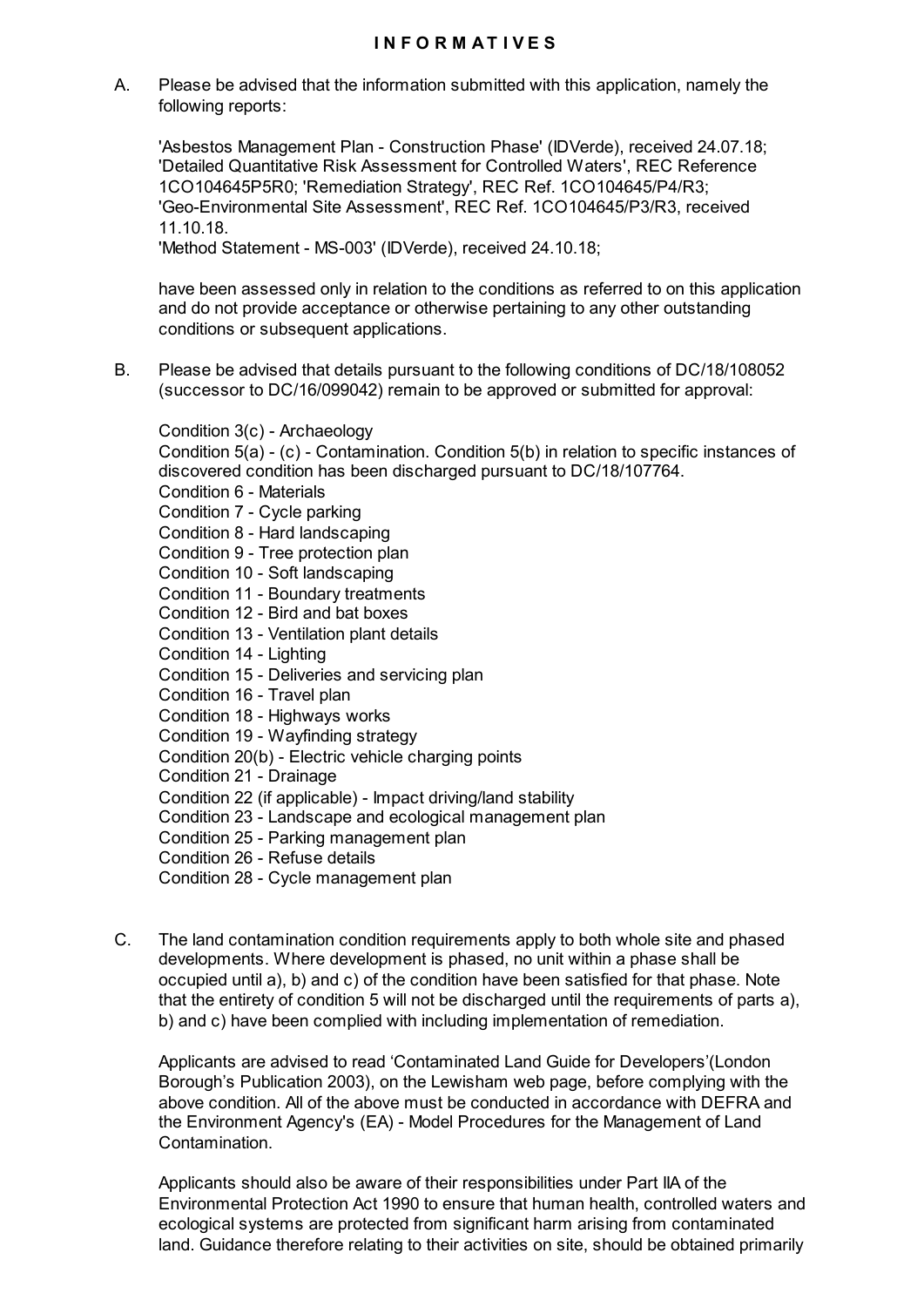A. Please be advised that the information submitted with this application, namely the following reports:

'Asbestos Management Plan - Construction Phase' (IDVerde), received 24.07.18; 'Detailed Quantitative Risk Assessment for Controlled Waters', REC Reference 1CO104645P5R0; 'Remediation Strategy', REC Ref. 1CO104645/P4/R3; 'Geo-Environmental Site Assessment', REC Ref. 1CO104645/P3/R3, received 11.10.18.

'Method Statement - MS-003' (IDVerde), received 24.10.18;

have been assessed only in relation to the conditions as referred to on this application and do not provide acceptance or otherwise pertaining to any other outstanding conditions or subsequent applications.

B. Please be advised that details pursuant to the following conditions of DC/18/108052 (successor to DC/16/099042) remain to be approved or submitted for approval:

Condition 3(c) - Archaeology Condition 5(a) - (c) - Contamination. Condition 5(b) in relation to specific instances of discovered condition has been discharged pursuant to DC/18/107764. Condition 6 - Materials Condition 7 - Cycle parking Condition 8 - Hard landscaping Condition 9 - Tree protection plan Condition 10 - Soft landscaping Condition 11 - Boundary treatments Condition 12 - Bird and bat boxes Condition 13 - Ventilation plant details Condition 14 - Lighting Condition 15 - Deliveries and servicing plan Condition 16 - Travel plan Condition 18 - Highways works Condition 19 - Wayfinding strategy Condition 20(b) - Electric vehicle charging points Condition 21 - Drainage Condition 22 (if applicable) - Impact driving/land stability Condition 23 - Landscape and ecological management plan Condition 25 - Parking management plan Condition 26 - Refuse details Condition 28 - Cycle management plan

C. The land contamination condition requirements apply to both whole site and phased developments. Where development is phased, no unit within a phase shall be occupied until a), b) and c) of the condition have been satisfied for that phase. Note that the entirety of condition 5 will not be discharged until the requirements of parts a), b) and c) have been complied with including implementation of remediation.

Applicants are advised to read 'Contaminated Land Guide for Developers'(London Borough's Publication 2003), on the Lewisham web page, before complying with the above condition. All of the above must be conducted in accordance with DEFRA and the Environment Agency's (EA) - Model Procedures for the Management of Land Contamination.

Applicants should also be aware of their responsibilities under Part IIA of the Environmental Protection Act 1990 to ensure that human health, controlled waters and ecological systems are protected from significant harm arising from contaminated land. Guidance therefore relating to their activities on site, should be obtained primarily